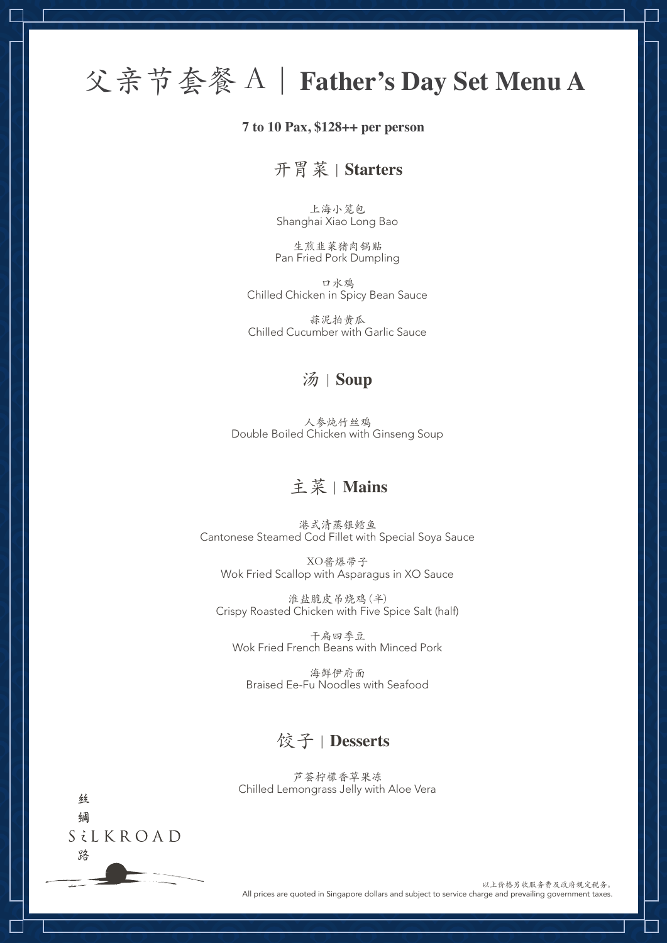# 父亲节套餐 A | **Father's Day Set Menu A**

#### **7 to 10 Pax, \$128++ per person**

### 开胃菜 | **Starters**

上海小笼包 Shanghai Xiao Long Bao

生煎韭菜猪肉锅贴 Pan Fried Pork Dumpling

口水鸡 Chilled Chicken in Spicy Bean Sauce

蒜泥拍黄瓜 Chilled Cucumber with Garlic Sauce

### 汤 | **Soup**

人参炖竹丝鸡 Double Boiled Chicken with Ginseng Soup

## 主菜 | **Mains**

港式清蒸银鳕鱼 Cantonese Steamed Cod Fillet with Special Soya Sauce

XO酱爆带子 Wok Fried Scallop with Asparagus in XO Sauce

淮盐脆皮吊烧鸡 (半) Crispy Roasted Chicken with Five Spice Salt (half)

干扁四季豆 Wok Fried French Beans with Minced Pork

海鲜伊府面 Braised Ee-Fu Noodles with Seafood

## 饺子 | **Desserts**

芦荟柠檬香草果冻 Chilled Lemongrass Jelly with Aloe Vera